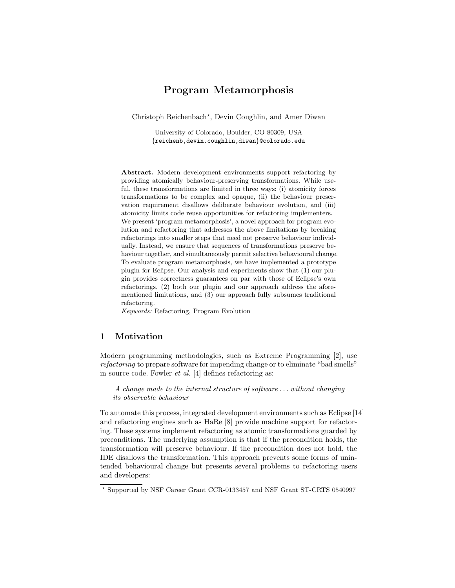# Program Metamorphosis

Christoph Reichenbach<sup>\*</sup>, Devin Coughlin, and Amer Diwan

University of Colorado, Boulder, CO 80309, USA {reichenb,devin.coughlin,diwan}@colorado.edu

Abstract. Modern development environments support refactoring by providing atomically behaviour-preserving transformations. While useful, these transformations are limited in three ways: (i) atomicity forces transformations to be complex and opaque, (ii) the behaviour preservation requirement disallows deliberate behaviour evolution, and (iii) atomicity limits code reuse opportunities for refactoring implementers. We present 'program metamorphosis', a novel approach for program evolution and refactoring that addresses the above limitations by breaking refactorings into smaller steps that need not preserve behaviour individually. Instead, we ensure that sequences of transformations preserve behaviour together, and simultaneously permit selective behavioural change. To evaluate program metamorphosis, we have implemented a prototype plugin for Eclipse. Our analysis and experiments show that (1) our plugin provides correctness guarantees on par with those of Eclipse's own refactorings, (2) both our plugin and our approach address the aforementioned limitations, and (3) our approach fully subsumes traditional refactoring.

*Keywords:* Refactoring, Program Evolution

## 1 Motivation

Modern programming methodologies, such as Extreme Programming [2], use refactoring to prepare software for impending change or to eliminate "bad smells" in source code. Fowler et al. [4] defines refactoring as:

A change made to the internal structure of software . . . without changing its observable behaviour

To automate this process, integrated development environments such as Eclipse [14] and refactoring engines such as HaRe [8] provide machine support for refactoring. These systems implement refactoring as atomic transformations guarded by preconditions. The underlying assumption is that if the precondition holds, the transformation will preserve behaviour. If the precondition does not hold, the IDE disallows the transformation. This approach prevents some forms of unintended behavioural change but presents several problems to refactoring users and developers:

<sup>⋆</sup> Supported by NSF Career Grant CCR-0133457 and NSF Grant ST-CRTS 0540997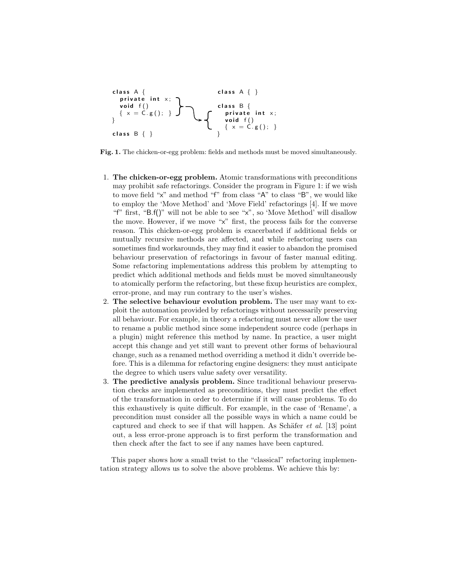```
class A \{private int x;
  void f()\{ x = C.g(); \}}
class B \{ \}class A \{ \}class B {
                                 private int x;
                                 void f()\{ x = C.g( ; )}
```
Fig. 1. The chicken-or-egg problem: fields and methods must be moved simultaneously.

- 1. The chicken-or-egg problem. Atomic transformations with preconditions may prohibit safe refactorings. Consider the program in Figure 1: if we wish to move field "x" and method "f" from class "A" to class "B", we would like to employ the 'Move Method' and 'Move Field' refactorings [4]. If we move "f" first, "B.f()" will not be able to see "x", so 'Move Method' will disallow the move. However, if we move "x" first, the process fails for the converse reason. This chicken-or-egg problem is exacerbated if additional fields or mutually recursive methods are affected, and while refactoring users can sometimes find workarounds, they may find it easier to abandon the promised behaviour preservation of refactorings in favour of faster manual editing. Some refactoring implementations address this problem by attempting to predict which additional methods and fields must be moved simultaneously to atomically perform the refactoring, but these fixup heuristics are complex, error-prone, and may run contrary to the user's wishes.
- 2. The selective behaviour evolution problem. The user may want to exploit the automation provided by refactorings without necessarily preserving all behaviour. For example, in theory a refactoring must never allow the user to rename a public method since some independent source code (perhaps in a plugin) might reference this method by name. In practice, a user might accept this change and yet still want to prevent other forms of behavioural change, such as a renamed method overriding a method it didn't override before. This is a dilemma for refactoring engine designers: they must anticipate the degree to which users value safety over versatility.
- 3. The predictive analysis problem. Since traditional behaviour preservation checks are implemented as preconditions, they must predict the effect of the transformation in order to determine if it will cause problems. To do this exhaustively is quite difficult. For example, in the case of 'Rename', a precondition must consider all the possible ways in which a name could be captured and check to see if that will happen. As Schäfer *et al.* [13] point out, a less error-prone approach is to first perform the transformation and then check after the fact to see if any names have been captured.

This paper shows how a small twist to the "classical" refactoring implementation strategy allows us to solve the above problems. We achieve this by: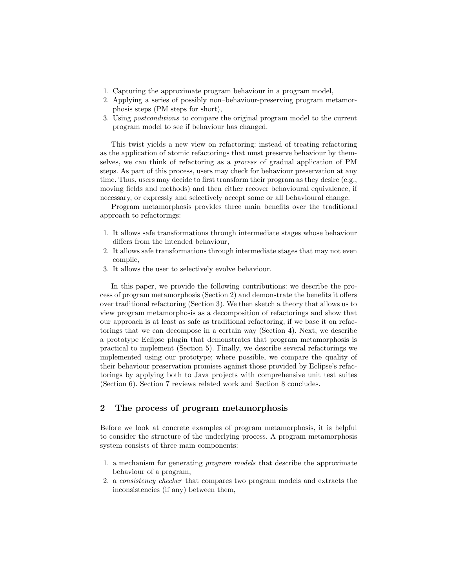- 1. Capturing the approximate program behaviour in a program model,
- 2. Applying a series of possibly non–behaviour-preserving program metamorphosis steps (PM steps for short),
- 3. Using postconditions to compare the original program model to the current program model to see if behaviour has changed.

This twist yields a new view on refactoring: instead of treating refactoring as the application of atomic refactorings that must preserve behaviour by themselves, we can think of refactoring as a process of gradual application of PM steps. As part of this process, users may check for behaviour preservation at any time. Thus, users may decide to first transform their program as they desire (e.g., moving fields and methods) and then either recover behavioural equivalence, if necessary, or expressly and selectively accept some or all behavioural change.

Program metamorphosis provides three main benefits over the traditional approach to refactorings:

- 1. It allows safe transformations through intermediate stages whose behaviour differs from the intended behaviour,
- 2. It allows safe transformations through intermediate stages that may not even compile,
- 3. It allows the user to selectively evolve behaviour.

In this paper, we provide the following contributions: we describe the process of program metamorphosis (Section 2) and demonstrate the benefits it offers over traditional refactoring (Section 3). We then sketch a theory that allows us to view program metamorphosis as a decomposition of refactorings and show that our approach is at least as safe as traditional refactoring, if we base it on refactorings that we can decompose in a certain way (Section 4). Next, we describe a prototype Eclipse plugin that demonstrates that program metamorphosis is practical to implement (Section 5). Finally, we describe several refactorings we implemented using our prototype; where possible, we compare the quality of their behaviour preservation promises against those provided by Eclipse's refactorings by applying both to Java projects with comprehensive unit test suites (Section 6). Section 7 reviews related work and Section 8 concludes.

## 2 The process of program metamorphosis

Before we look at concrete examples of program metamorphosis, it is helpful to consider the structure of the underlying process. A program metamorphosis system consists of three main components:

- 1. a mechanism for generating program models that describe the approximate behaviour of a program,
- 2. a consistency checker that compares two program models and extracts the inconsistencies (if any) between them,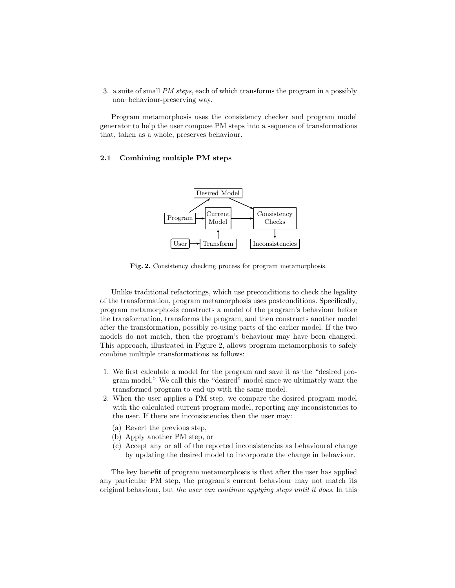3. a suite of small PM steps, each of which transforms the program in a possibly non–behaviour-preserving way.

Program metamorphosis uses the consistency checker and program model generator to help the user compose PM steps into a sequence of transformations that, taken as a whole, preserves behaviour.

## 2.1 Combining multiple PM steps



Fig. 2. Consistency checking process for program metamorphosis.

Unlike traditional refactorings, which use preconditions to check the legality of the transformation, program metamorphosis uses postconditions. Specifically, program metamorphosis constructs a model of the program's behaviour before the transformation, transforms the program, and then constructs another model after the transformation, possibly re-using parts of the earlier model. If the two models do not match, then the program's behaviour may have been changed. This approach, illustrated in Figure 2, allows program metamorphosis to safely combine multiple transformations as follows:

- 1. We first calculate a model for the program and save it as the "desired program model." We call this the "desired" model since we ultimately want the transformed program to end up with the same model.
- 2. When the user applies a PM step, we compare the desired program model with the calculated current program model, reporting any inconsistencies to the user. If there are inconsistencies then the user may:
	- (a) Revert the previous step,
	- (b) Apply another PM step, or
	- (c) Accept any or all of the reported inconsistencies as behavioural change by updating the desired model to incorporate the change in behaviour.

The key benefit of program metamorphosis is that after the user has applied any particular PM step, the program's current behaviour may not match its original behaviour, but the user can continue applying steps until it does. In this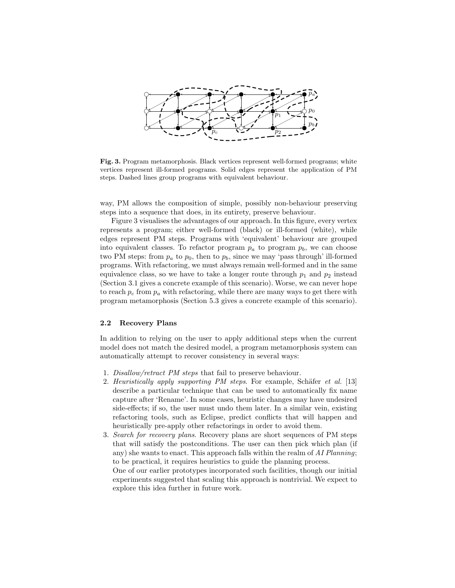

Fig. 3. Program metamorphosis. Black vertices represent well-formed programs; white vertices represent ill-formed programs. Solid edges represent the application of PM steps. Dashed lines group programs with equivalent behaviour.

way, PM allows the composition of simple, possibly non-behaviour preserving steps into a sequence that does, in its entirety, preserve behaviour.

Figure 3 visualises the advantages of our approach. In this figure, every vertex represents a program; either well-formed (black) or ill-formed (white), while edges represent PM steps. Programs with 'equivalent' behaviour are grouped into equivalent classes. To refactor program  $p_a$  to program  $p_b$ , we can choose two PM steps: from  $p_a$  to  $p_0$ , then to  $p_b$ , since we may 'pass through' ill-formed programs. With refactoring, we must always remain well-formed and in the same equivalence class, so we have to take a longer route through  $p_1$  and  $p_2$  instead (Section 3.1 gives a concrete example of this scenario). Worse, we can never hope to reach  $p_c$  from  $p_a$  with refactoring, while there are many ways to get there with program metamorphosis (Section 5.3 gives a concrete example of this scenario).

## 2.2 Recovery Plans

In addition to relying on the user to apply additional steps when the current model does not match the desired model, a program metamorphosis system can automatically attempt to recover consistency in several ways:

- 1. Disallow/retract PM steps that fail to preserve behaviour.
- 2. Heuristically apply supporting PM steps. For example, Schäfer et al. [13] describe a particular technique that can be used to automatically fix name capture after 'Rename'. In some cases, heuristic changes may have undesired side-effects; if so, the user must undo them later. In a similar vein, existing refactoring tools, such as Eclipse, predict conflicts that will happen and heuristically pre-apply other refactorings in order to avoid them.
- 3. Search for recovery plans. Recovery plans are short sequences of PM steps that will satisfy the postconditions. The user can then pick which plan (if any) she wants to enact. This approach falls within the realm of AI Planning; to be practical, it requires heuristics to guide the planning process. One of our earlier prototypes incorporated such facilities, though our initial experiments suggested that scaling this approach is nontrivial. We expect to explore this idea further in future work.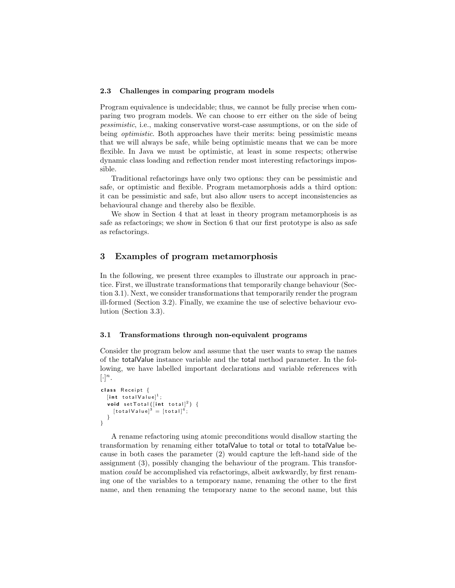## 2.3 Challenges in comparing program models

Program equivalence is undecidable; thus, we cannot be fully precise when comparing two program models. We can choose to err either on the side of being pessimistic, i.e., making conservative worst-case assumptions, or on the side of being optimistic. Both approaches have their merits: being pessimistic means that we will always be safe, while being optimistic means that we can be more flexible. In Java we must be optimistic, at least in some respects; otherwise dynamic class loading and reflection render most interesting refactorings impossible.

Traditional refactorings have only two options: they can be pessimistic and safe, or optimistic and flexible. Program metamorphosis adds a third option: it can be pessimistic and safe, but also allow users to accept inconsistencies as behavioural change and thereby also be flexible.

We show in Section 4 that at least in theory program metamorphosis is as safe as refactorings; we show in Section 6 that our first prototype is also as safe as refactorings.

## 3 Examples of program metamorphosis

In the following, we present three examples to illustrate our approach in practice. First, we illustrate transformations that temporarily change behaviour (Section 3.1). Next, we consider transformations that temporarily render the program ill-formed (Section 3.2). Finally, we examine the use of selective behaviour evolution (Section 3.3).

## 3.1 Transformations through non-equivalent programs

Consider the program below and assume that the user wants to swap the names of the totalValue instance variable and the total method parameter. In the following, we have labelled important declarations and variable references with  $[\cdot]^n.$ 

```
class Receipt {
      \begin{bmatrix} \mathsf{int} & \mathsf{totalValue} \end{bmatrix}^1;
       \textsf{void} \ \ \textsf{setTotal} \left( \left[ \textsf{int} \ \ \textsf{total} \right] {}^2 \right) \ \ \{[\text{totalValue}]^3 = [\text{total}]^4;}
}
```
A rename refactoring using atomic preconditions would disallow starting the transformation by renaming either totalValue to total or total to totalValue because in both cases the parameter (2) would capture the left-hand side of the assignment (3), possibly changing the behaviour of the program. This transformation could be accomplished via refactorings, albeit awkwardly, by first renaming one of the variables to a temporary name, renaming the other to the first name, and then renaming the temporary name to the second name, but this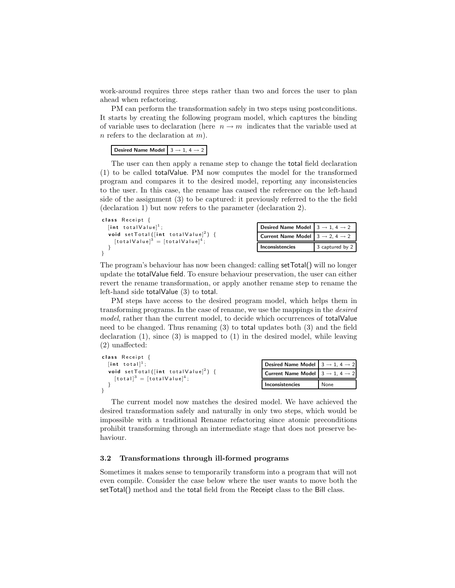work-around requires three steps rather than two and forces the user to plan ahead when refactoring.

PM can perform the transformation safely in two steps using postconditions. It starts by creating the following program model, which captures the binding of variable uses to declaration (here  $n \to m$  indicates that the variable used at n refers to the declaration at m).

| Desired Name Model $3 \rightarrow 1, 4 \rightarrow 2$ |  |
|-------------------------------------------------------|--|
|-------------------------------------------------------|--|

The user can then apply a rename step to change the total field declaration (1) to be called totalValue. PM now computes the model for the transformed program and compares it to the desired model, reporting any inconsistencies to the user. In this case, the rename has caused the reference on the left-hand side of the assignment (3) to be captured: it previously referred to the the field (declaration 1) but now refers to the parameter (declaration 2).

| class Receipt                                                                                           |                                                       |                 |
|---------------------------------------------------------------------------------------------------------|-------------------------------------------------------|-----------------|
| $[int total Value]$ <sup>1</sup> ;                                                                      | Desired Name Model $3 \rightarrow 1, 4 \rightarrow 2$ |                 |
| void set Total ([int total Value] <sup>2</sup> ) {<br>$[\text{totalValue}]^3 = [\text{totalValue}]^4$ ; | Current Name Model $3 \rightarrow 2, 4 \rightarrow 2$ |                 |
|                                                                                                         | <b>Inconsistencies</b>                                | 3 captured by 2 |
|                                                                                                         |                                                       |                 |

The program's behaviour has now been changed: calling setTotal() will no longer update the totalValue field. To ensure behaviour preservation, the user can either revert the rename transformation, or apply another rename step to rename the left-hand side totalValue (3) to total.

PM steps have access to the desired program model, which helps them in transforming programs. In the case of rename, we use the mappings in the desired model, rather than the current model, to decide which occurrences of totalValue need to be changed. Thus renaming (3) to total updates both (3) and the field declaration (1), since (3) is mapped to (1) in the desired model, while leaving (2) unaffected:

| class Receipt $\{$                                                                                 |                                                       |      |  |
|----------------------------------------------------------------------------------------------------|-------------------------------------------------------|------|--|
| $\left[\mathsf{int} \;\; \mathsf{total}\right]^{1}$ :                                              | Desired Name Model $3 \rightarrow 1, 4 \rightarrow 2$ |      |  |
| void set Total ([int total Value] <sup>2</sup> ) {<br>$[\text{total}]^3 = [\text{totalValue}]^4$ ; | Current Name Model $3 \rightarrow 1, 4 \rightarrow 2$ |      |  |
|                                                                                                    | Inconsistencies                                       | None |  |
|                                                                                                    |                                                       |      |  |

The current model now matches the desired model. We have achieved the desired transformation safely and naturally in only two steps, which would be impossible with a traditional Rename refactoring since atomic preconditions prohibit transforming through an intermediate stage that does not preserve behaviour.

### 3.2 Transformations through ill-formed programs

Sometimes it makes sense to temporarily transform into a program that will not even compile. Consider the case below where the user wants to move both the setTotal() method and the total field from the Receipt class to the Bill class.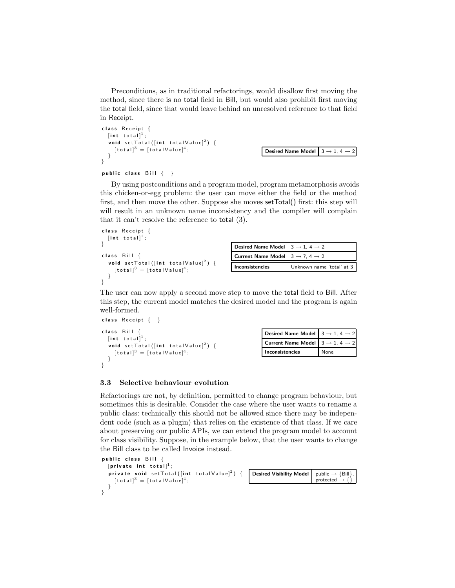Preconditions, as in traditional refactorings, would disallow first moving the method, since there is no total field in Bill, but would also prohibit first moving the total field, since that would leave behind an unresolved reference to that field in Receipt.

```
class Receipt {
      \begin{bmatrix} \text{int} & \text{total} \end{bmatrix}^1;
      \mathbf{void}\ \ \mathsf{setTotal}\left([\mathbf{int}\ \ \mathsf{totalValue}]^2\right)\ \{\mathsf{aligned}\}[\text{total}]^3 = [\text{totalValue}]^4;
     }
}
```
Desired Name Model  $3 \rightarrow 1, 4 \rightarrow$ 

#### public class  $Bill \{ \}$

By using postconditions and a program model, program metamorphosis avoids this chicken-or-egg problem: the user can move either the field or the method first, and then move the other. Suppose she moves setTotal() first: this step will will result in an unknown name inconsistency and the compiler will complain that it can't resolve the reference to total (3).

```
class Receipt {
     \begin{bmatrix} \text{int} & \text{total} \end{bmatrix}^1;
\mathbf{I}class Bill \{\textsf{void} \ \ \textsf{setTotal} \left( [\textsf{int} \ \ \textsf{totalValue}]^2 \right) \ \ \{[\text{total}]^3 = [\text{totalValue}]^4;
    }
}
```

| Desired Name Model $3 \rightarrow 1, 4 \rightarrow 2$           |                           |
|-----------------------------------------------------------------|---------------------------|
| <b>Current Name Model</b> $3 \rightarrow ?$ , $4 \rightarrow 2$ |                           |
| Inconsistencies                                                 | Unknown name 'total' at 3 |

The user can now apply a second move step to move the total field to Bill. After this step, the current model matches the desired model and the program is again well-formed.

```
class Receipt \{\}class Bill {
     \begin{bmatrix} \mathsf{int} & \mathsf{total} \end{bmatrix}^1;\mathbf{void}\ \ \mathsf{setTotal}\left([\mathbf{int}\ \ \mathsf{totalValue}]^2\right)\ \{\mathsf{aligned}\}[\text{total}]^3 = [\text{totalValue}]^4;}
}
```

| Desired Name Model $3 \rightarrow 1, 4 \rightarrow 2$ |      |
|-------------------------------------------------------|------|
| Current Name Model $3 \rightarrow 1, 4 \rightarrow 2$ |      |
| <b>Inconsistencies</b>                                | None |

### 3.3 Selective behaviour evolution

Refactorings are not, by definition, permitted to change program behaviour, but sometimes this is desirable. Consider the case where the user wants to rename a public class: technically this should not be allowed since there may be independent code (such as a plugin) that relies on the existence of that class. If we care about preserving our public APIs, we can extend the program model to account for class visibility. Suppose, in the example below, that the user wants to change the Bill class to be called Invoice instead.

```
public class Bill {
    [private int total]<sup>1</sup>;
     \frac{1}{2} private void set\textsf{Total} \left( \left[ \textsf{int} \textsf{ totalValue} \right]^2 \right) \; \{ \;[\text{total}]^3 = [\text{totalValue}]^4;
   }
}
                                                                                           Desired Visibility Model public \rightarrow \{Bill\}protected \rightarrow
```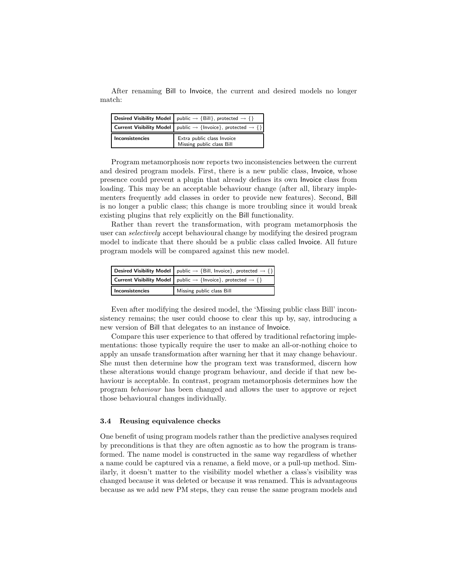After renaming Bill to Invoice, the current and desired models no longer match:

| Desired Visibility Model        | public $\rightarrow \{\text{Bill}\},$ protected $\rightarrow \{\}$ |
|---------------------------------|--------------------------------------------------------------------|
| <b>Current Visibility Model</b> | public $\rightarrow$ {Invoice}, protected $\rightarrow$ {}         |
| Inconsistencies                 | Extra public class Invoice<br>Missing public class Bill            |

Program metamorphosis now reports two inconsistencies between the current and desired program models. First, there is a new public class, Invoice, whose presence could prevent a plugin that already defines its own Invoice class from loading. This may be an acceptable behaviour change (after all, library implementers frequently add classes in order to provide new features). Second, Bill is no longer a public class; this change is more troubling since it would break existing plugins that rely explicitly on the Bill functionality.

Rather than revert the transformation, with program metamorphosis the user can selectively accept behavioural change by modifying the desired program model to indicate that there should be a public class called Invoice. All future program models will be compared against this new model.

|                 | <b>Desired Visibility Model</b> public $\rightarrow$ {Bill, Invoice}, protected $\rightarrow$ {} |  |  |
|-----------------|--------------------------------------------------------------------------------------------------|--|--|
|                 | Current Visibility Model   public $\rightarrow$ {Invoice}, protected $\rightarrow$ {}            |  |  |
| Inconsistencies | Missing public class Bill                                                                        |  |  |

Even after modifying the desired model, the 'Missing public class Bill' inconsistency remains; the user could choose to clear this up by, say, introducing a new version of Bill that delegates to an instance of Invoice.

Compare this user experience to that offered by traditional refactoring implementations: those typically require the user to make an all-or-nothing choice to apply an unsafe transformation after warning her that it may change behaviour. She must then determine how the program text was transformed, discern how these alterations would change program behaviour, and decide if that new behaviour is acceptable. In contrast, program metamorphosis determines how the program behaviour has been changed and allows the user to approve or reject those behavioural changes individually.

### 3.4 Reusing equivalence checks

One benefit of using program models rather than the predictive analyses required by preconditions is that they are often agnostic as to how the program is transformed. The name model is constructed in the same way regardless of whether a name could be captured via a rename, a field move, or a pull-up method. Similarly, it doesn't matter to the visibility model whether a class's visibility was changed because it was deleted or because it was renamed. This is advantageous because as we add new PM steps, they can reuse the same program models and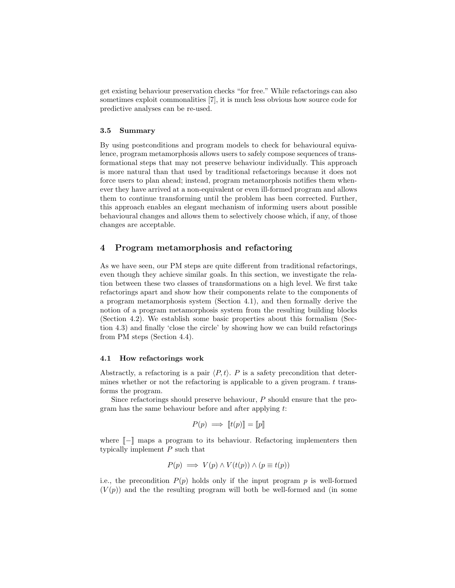get existing behaviour preservation checks "for free." While refactorings can also sometimes exploit commonalities [7], it is much less obvious how source code for predictive analyses can be re-used.

#### 3.5 Summary

By using postconditions and program models to check for behavioural equivalence, program metamorphosis allows users to safely compose sequences of transformational steps that may not preserve behaviour individually. This approach is more natural than that used by traditional refactorings because it does not force users to plan ahead; instead, program metamorphosis notifies them whenever they have arrived at a non-equivalent or even ill-formed program and allows them to continue transforming until the problem has been corrected. Further, this approach enables an elegant mechanism of informing users about possible behavioural changes and allows them to selectively choose which, if any, of those changes are acceptable.

## 4 Program metamorphosis and refactoring

As we have seen, our PM steps are quite different from traditional refactorings, even though they achieve similar goals. In this section, we investigate the relation between these two classes of transformations on a high level. We first take refactorings apart and show how their components relate to the components of a program metamorphosis system (Section 4.1), and then formally derive the notion of a program metamorphosis system from the resulting building blocks (Section 4.2). We establish some basic properties about this formalism (Section 4.3) and finally 'close the circle' by showing how we can build refactorings from PM steps (Section 4.4).

#### 4.1 How refactorings work

Abstractly, a refactoring is a pair  $\langle P, t \rangle$ . P is a safety precondition that determines whether or not the refactoring is applicable to a given program.  $t$  transforms the program.

Since refactorings should preserve behaviour, P should ensure that the program has the same behaviour before and after applying t:

$$
P(p) \implies [t(p)] = [p]
$$

where  $\llbracket - \rrbracket$  maps a program to its behaviour. Refactoring implementers then typically implement P such that

$$
P(p) \implies V(p) \land V(t(p)) \land (p \equiv t(p))
$$

i.e., the precondition  $P(p)$  holds only if the input program p is well-formed  $(V(p))$  and the the resulting program will both be well-formed and (in some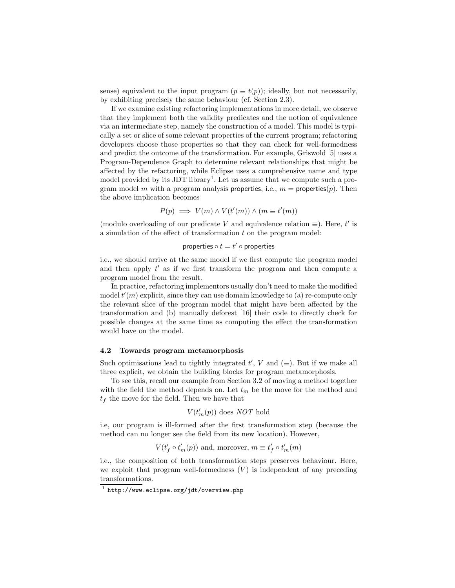sense) equivalent to the input program ( $p \equiv t(p)$ ); ideally, but not necessarily, by exhibiting precisely the same behaviour (cf. Section 2.3).

If we examine existing refactoring implementations in more detail, we observe that they implement both the validity predicates and the notion of equivalence via an intermediate step, namely the construction of a model. This model is typically a set or slice of some relevant properties of the current program; refactoring developers choose those properties so that they can check for well-formedness and predict the outcome of the transformation. For example, Griswold [5] uses a Program-Dependence Graph to determine relevant relationships that might be affected by the refactoring, while Eclipse uses a comprehensive name and type model provided by its JDT library<sup>1</sup>. Let us assume that we compute such a program model m with a program analysis properties, i.e.,  $m =$  properties $(p)$ . Then the above implication becomes

$$
P(p) \implies V(m) \wedge V(t'(m)) \wedge (m \equiv t'(m))
$$

(modulo overloading of our predicate V and equivalence relation  $\equiv$ ). Here, t' is a simulation of the effect of transformation  $t$  on the program model:

## properties  $\circ$   $t=t'$   $\circ$  properties

i.e., we should arrive at the same model if we first compute the program model and then apply  $t'$  as if we first transform the program and then compute a program model from the result.

In practice, refactoring implementors usually don't need to make the modified model  $t'(m)$  explicit, since they can use domain knowledge to (a) re-compute only the relevant slice of the program model that might have been affected by the transformation and (b) manually deforest [16] their code to directly check for possible changes at the same time as computing the effect the transformation would have on the model.

## 4.2 Towards program metamorphosis

Such optimisations lead to tightly integrated  $t'$ , V and  $(\equiv)$ . But if we make all three explicit, we obtain the building blocks for program metamorphosis.

To see this, recall our example from Section 3.2 of moving a method together with the field the method depends on. Let  $t_m$  be the move for the method and  $t_f$  the move for the field. Then we have that

$$
V(t_m'(p))
$$
 does  $\operatorname{NOT}$  hold

i.e, our program is ill-formed after the first transformation step (because the method can no longer see the field from its new location). However,

$$
V(t'_f \circ t'_m(p))
$$
 and, moreover,  $m \equiv t'_f \circ t'_m(m)$ 

i.e., the composition of both transformation steps preserves behaviour. Here, we exploit that program well-formedness  $(V)$  is independent of any preceding transformations.

 $^1$  http://www.eclipse.org/jdt/overview.php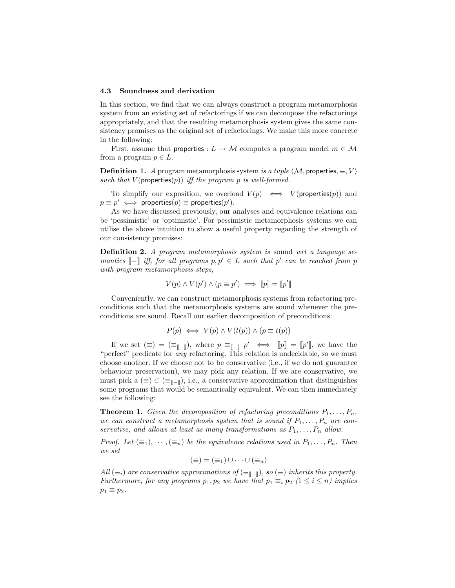#### 4.3 Soundness and derivation

In this section, we find that we can always construct a program metamorphosis system from an existing set of refactorings if we can decompose the refactorings appropriately, and that the resulting metamorphosis system gives the same consistency promises as the original set of refactorings. We make this more concrete in the following:

First, assume that properties :  $L \to M$  computes a program model  $m \in M$ from a program  $p \in L$ .

**Definition 1.** A program metamorphosis system is a tuple  $\langle M$ , properties,  $\equiv$ , V $\rangle$ such that  $V(\mathsf{properties}(p))$  iff the program p is well-formed.

To simplify our exposition, we overload  $V(p) \iff V(\text{properties}(p))$  and  $p \equiv p' \iff$  properties $(p) \equiv$  properties $(p').$ 

As we have discussed previously, our analyses and equivalence relations can be 'pessimistic' or 'optimistic'. For pessimistic metamorphosis systems we can utilise the above intuition to show a useful property regarding the strength of our consistency promises:

Definition 2. A program metamorphosis system is sound wrt a language semantics  $\llbracket - \rrbracket$  iff, for all programs  $p, p' \in L$  such that p' can be reached from p with program metamorphosis steps,

$$
V(p) \wedge V(p') \wedge (p \equiv p') \implies [p] = [p']
$$

Conveniently, we can construct metamorphosis systems from refactoring preconditions such that the metamorphosis systems are sound whenever the preconditions are sound. Recall our earlier decomposition of preconditions:

$$
P(p) \iff V(p) \land V(t(p)) \land (p \equiv t(p))
$$

If we set  $(\equiv) = (\equiv_{\llbracket - \rrbracket})$ , where  $p \equiv_{\llbracket - \rrbracket} p' \iff [p] = [p']$ , we have the "perfect" predicate for *any* refactoring. This relation is undecidable, so we must choose another. If we choose not to be conservative (i.e., if we do not guarantee behaviour preservation), we may pick any relation. If we are conservative, we must pick a  $(\equiv) \subset (\equiv_{\llbracket - \rrbracket})$ , i.e., a conservative approximation that distinguishes some programs that would be semantically equivalent. We can then immediately see the following:

**Theorem 1.** Given the decomposition of refactoring preconditions  $P_1, \ldots, P_n$ , we can construct a metamorphosis system that is sound if  $P_1, \ldots, P_n$  are conservative, and allows at least as many transformations as  $P_1, \ldots, P_n$  allow.

Proof. Let  $(\equiv_1), \cdots, (\equiv_n)$  be the equivalence relations used in  $P_1, \ldots, P_n$ . Then we set

$$
(\equiv)=(\equiv_1)\cup\cdots\cup(\equiv_n)
$$

All  $(\equiv_i)$  are conservative approximations of  $(\equiv_{\llbracket -\rrbracket})$ , so  $(\equiv)$  inherits this property. Furthermore, for any programs  $p_1, p_2$  we have that  $p_1 \equiv_i p_2$   $(1 \le i \le n)$  implies  $p_1 \equiv p_2$ .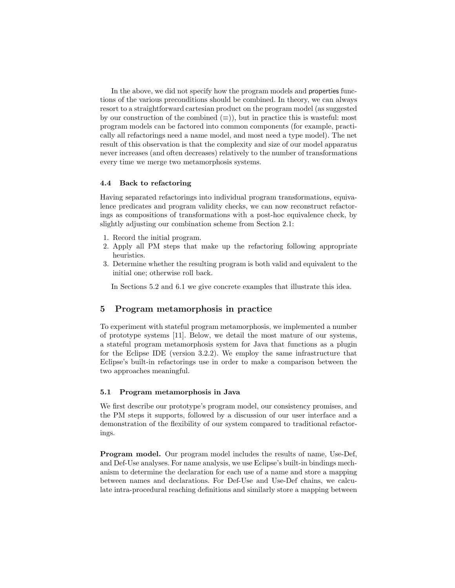In the above, we did not specify how the program models and properties functions of the various preconditions should be combined. In theory, we can always resort to a straightforward cartesian product on the program model (as suggested by our construction of the combined  $(\equiv)$ ), but in practice this is wasteful: most program models can be factored into common components (for example, practically all refactorings need a name model, and most need a type model). The net result of this observation is that the complexity and size of our model apparatus never increases (and often decreases) relatively to the number of transformations every time we merge two metamorphosis systems.

## 4.4 Back to refactoring

Having separated refactorings into individual program transformations, equivalence predicates and program validity checks, we can now reconstruct refactorings as compositions of transformations with a post-hoc equivalence check, by slightly adjusting our combination scheme from Section 2.1:

- 1. Record the initial program.
- 2. Apply all PM steps that make up the refactoring following appropriate heuristics.
- 3. Determine whether the resulting program is both valid and equivalent to the initial one; otherwise roll back.

In Sections 5.2 and 6.1 we give concrete examples that illustrate this idea.

## 5 Program metamorphosis in practice

To experiment with stateful program metamorphosis, we implemented a number of prototype systems [11]. Below, we detail the most mature of our systems, a stateful program metamorphosis system for Java that functions as a plugin for the Eclipse IDE (version 3.2.2). We employ the same infrastructure that Eclipse's built-in refactorings use in order to make a comparison between the two approaches meaningful.

## 5.1 Program metamorphosis in Java

We first describe our prototype's program model, our consistency promises, and the PM steps it supports, followed by a discussion of our user interface and a demonstration of the flexibility of our system compared to traditional refactorings.

Program model. Our program model includes the results of name, Use-Def, and Def-Use analyses. For name analysis, we use Eclipse's built-in bindings mechanism to determine the declaration for each use of a name and store a mapping between names and declarations. For Def-Use and Use-Def chains, we calculate intra-procedural reaching definitions and similarly store a mapping between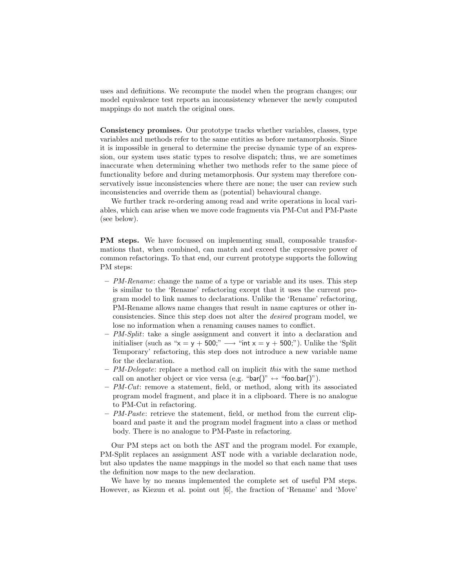uses and definitions. We recompute the model when the program changes; our model equivalence test reports an inconsistency whenever the newly computed mappings do not match the original ones.

Consistency promises. Our prototype tracks whether variables, classes, type variables and methods refer to the same entities as before metamorphosis. Since it is impossible in general to determine the precise dynamic type of an expression, our system uses static types to resolve dispatch; thus, we are sometimes inaccurate when determining whether two methods refer to the same piece of functionality before and during metamorphosis. Our system may therefore conservatively issue inconsistencies where there are none; the user can review such inconsistencies and override them as (potential) behavioural change.

We further track re-ordering among read and write operations in local variables, which can arise when we move code fragments via PM-Cut and PM-Paste (see below).

PM steps. We have focussed on implementing small, composable transformations that, when combined, can match and exceed the expressive power of common refactorings. To that end, our current prototype supports the following PM steps:

- $-$  PM-Rename: change the name of a type or variable and its uses. This step is similar to the 'Rename' refactoring except that it uses the current program model to link names to declarations. Unlike the 'Rename' refactoring, PM-Rename allows name changes that result in name captures or other inconsistencies. Since this step does not alter the desired program model, we lose no information when a renaming causes names to conflict.
- PM-Split: take a single assignment and convert it into a declaration and initialiser (such as " $x = y + 500$ ;"  $\longrightarrow$  "int  $x = y + 500$ ;"). Unlike the 'Split Temporary' refactoring, this step does not introduce a new variable name for the declaration.
- $-$  PM-Delegate: replace a method call on implicit this with the same method call on another object or vice versa (e.g. "bar()"  $\leftrightarrow$  "foo.bar()").
- $PM-Cut:$  remove a statement, field, or method, along with its associated program model fragment, and place it in a clipboard. There is no analogue to PM-Cut in refactoring.
- $-$  PM-Paste: retrieve the statement, field, or method from the current clipboard and paste it and the program model fragment into a class or method body. There is no analogue to PM-Paste in refactoring.

Our PM steps act on both the AST and the program model. For example, PM-Split replaces an assignment AST node with a variable declaration node, but also updates the name mappings in the model so that each name that uses the definition now maps to the new declaration.

We have by no means implemented the complete set of useful PM steps. However, as Kiezun et al. point out [6], the fraction of 'Rename' and 'Move'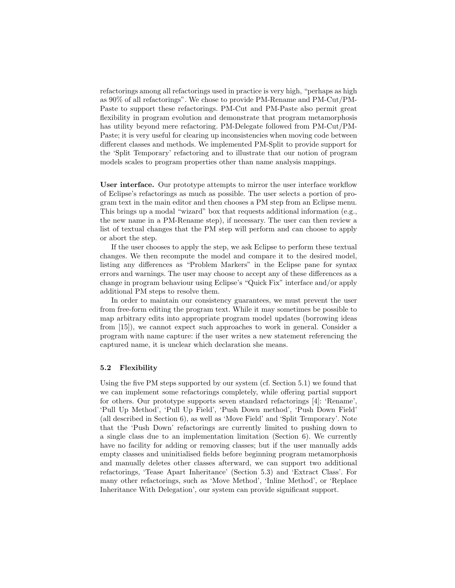refactorings among all refactorings used in practice is very high, "perhaps as high as 90% of all refactorings". We chose to provide PM-Rename and PM-Cut/PM-Paste to support these refactorings. PM-Cut and PM-Paste also permit great flexibility in program evolution and demonstrate that program metamorphosis has utility beyond mere refactoring. PM-Delegate followed from PM-Cut/PM-Paste; it is very useful for clearing up inconsistencies when moving code between different classes and methods. We implemented PM-Split to provide support for the 'Split Temporary' refactoring and to illustrate that our notion of program models scales to program properties other than name analysis mappings.

User interface. Our prototype attempts to mirror the user interface workflow of Eclipse's refactorings as much as possible. The user selects a portion of program text in the main editor and then chooses a PM step from an Eclipse menu. This brings up a modal "wizard" box that requests additional information (e.g., the new name in a PM-Rename step), if necessary. The user can then review a list of textual changes that the PM step will perform and can choose to apply or abort the step.

If the user chooses to apply the step, we ask Eclipse to perform these textual changes. We then recompute the model and compare it to the desired model, listing any differences as "Problem Markers" in the Eclipse pane for syntax errors and warnings. The user may choose to accept any of these differences as a change in program behaviour using Eclipse's "Quick Fix" interface and/or apply additional PM steps to resolve them.

In order to maintain our consistency guarantees, we must prevent the user from free-form editing the program text. While it may sometimes be possible to map arbitrary edits into appropriate program model updates (borrowing ideas from [15]), we cannot expect such approaches to work in general. Consider a program with name capture: if the user writes a new statement referencing the captured name, it is unclear which declaration she means.

## 5.2 Flexibility

Using the five PM steps supported by our system (cf. Section 5.1) we found that we can implement some refactorings completely, while offering partial support for others. Our prototype supports seven standard refactorings [4]: 'Rename', 'Pull Up Method', 'Pull Up Field', 'Push Down method', 'Push Down Field' (all described in Section 6), as well as 'Move Field' and 'Split Temporary'. Note that the 'Push Down' refactorings are currently limited to pushing down to a single class due to an implementation limitation (Section 6). We currently have no facility for adding or removing classes; but if the user manually adds empty classes and uninitialised fields before beginning program metamorphosis and manually deletes other classes afterward, we can support two additional refactorings, 'Tease Apart Inheritance' (Section 5.3) and 'Extract Class'. For many other refactorings, such as 'Move Method', 'Inline Method', or 'Replace Inheritance With Delegation', our system can provide significant support.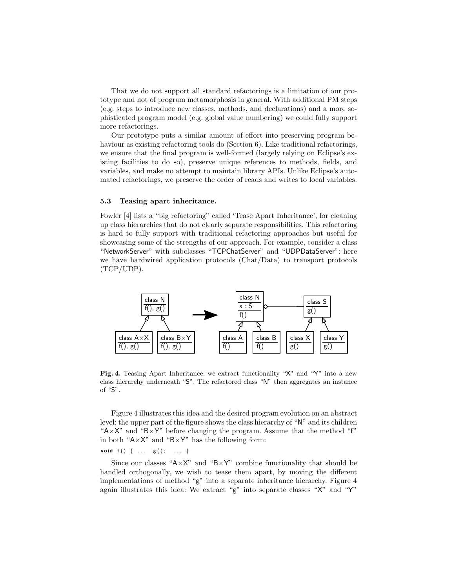That we do not support all standard refactorings is a limitation of our prototype and not of program metamorphosis in general. With additional PM steps (e.g. steps to introduce new classes, methods, and declarations) and a more sophisticated program model (e.g. global value numbering) we could fully support more refactorings.

Our prototype puts a similar amount of effort into preserving program behaviour as existing refactoring tools do (Section 6). Like traditional refactorings, we ensure that the final program is well-formed (largely relying on Eclipse's existing facilities to do so), preserve unique references to methods, fields, and variables, and make no attempt to maintain library APIs. Unlike Eclipse's automated refactorings, we preserve the order of reads and writes to local variables.

#### 5.3 Teasing apart inheritance.

Fowler [4] lists a "big refactoring" called 'Tease Apart Inheritance', for cleaning up class hierarchies that do not clearly separate responsibilities. This refactoring is hard to fully support with traditional refactoring approaches but useful for showcasing some of the strengths of our approach. For example, consider a class "NetworkServer" with subclasses "TCPChatServer" and "UDPDataServer": here we have hardwired application protocols (Chat/Data) to transport protocols (TCP/UDP).



Fig. 4. Teasing Apart Inheritance: we extract functionality "X" and "Y" into a new class hierarchy underneath "S". The refactored class "N" then aggregates an instance of "S".

Figure 4 illustrates this idea and the desired program evolution on an abstract level: the upper part of the figure shows the class hierarchy of "N" and its children " $A \times X$ " and " $B \times Y$ " before changing the program. Assume that the method "f" in both " $A \times X$ " and " $B \times Y$ " has the following form:

void f() {  $...$  g();  $...$  }

Since our classes " $A \times X$ " and " $B \times Y$ " combine functionality that should be handled orthogonally, we wish to tease them apart, by moving the different implementations of method "g" into a separate inheritance hierarchy. Figure 4 again illustrates this idea: We extract "g" into separate classes "X" and "Y"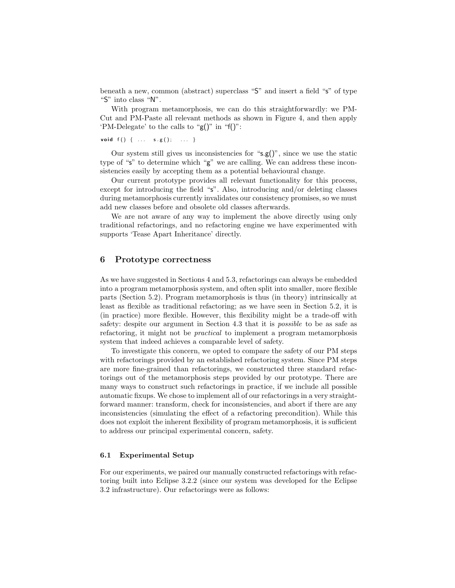beneath a new, common (abstract) superclass "S" and insert a field "s" of type "S" into class "N".

With program metamorphosis, we can do this straightforwardly: we PM-Cut and PM-Paste all relevant methods as shown in Figure 4, and then apply 'PM-Delegate' to the calls to "g()" in "f()":

void  $f() \{ ... s.g(); ... \}$ 

Our system still gives us inconsistencies for "s.g()", since we use the static type of "s" to determine which "g" we are calling. We can address these inconsistencies easily by accepting them as a potential behavioural change.

Our current prototype provides all relevant functionality for this process, except for introducing the field "s". Also, introducing and/or deleting classes during metamorphosis currently invalidates our consistency promises, so we must add new classes before and obsolete old classes afterwards.

We are not aware of any way to implement the above directly using only traditional refactorings, and no refactoring engine we have experimented with supports 'Tease Apart Inheritance' directly.

## 6 Prototype correctness

As we have suggested in Sections 4 and 5.3, refactorings can always be embedded into a program metamorphosis system, and often split into smaller, more flexible parts (Section 5.2). Program metamorphosis is thus (in theory) intrinsically at least as flexible as traditional refactoring; as we have seen in Section 5.2, it is (in practice) more flexible. However, this flexibility might be a trade-off with safety: despite our argument in Section 4.3 that it is possible to be as safe as refactoring, it might not be practical to implement a program metamorphosis system that indeed achieves a comparable level of safety.

To investigate this concern, we opted to compare the safety of our PM steps with refactorings provided by an established refactoring system. Since PM steps are more fine-grained than refactorings, we constructed three standard refactorings out of the metamorphosis steps provided by our prototype. There are many ways to construct such refactorings in practice, if we include all possible automatic fixups. We chose to implement all of our refactorings in a very straightforward manner: transform, check for inconsistencies, and abort if there are any inconsistencies (simulating the effect of a refactoring precondition). While this does not exploit the inherent flexibility of program metamorphosis, it is sufficient to address our principal experimental concern, safety.

#### 6.1 Experimental Setup

For our experiments, we paired our manually constructed refactorings with refactoring built into Eclipse 3.2.2 (since our system was developed for the Eclipse 3.2 infrastructure). Our refactorings were as follows: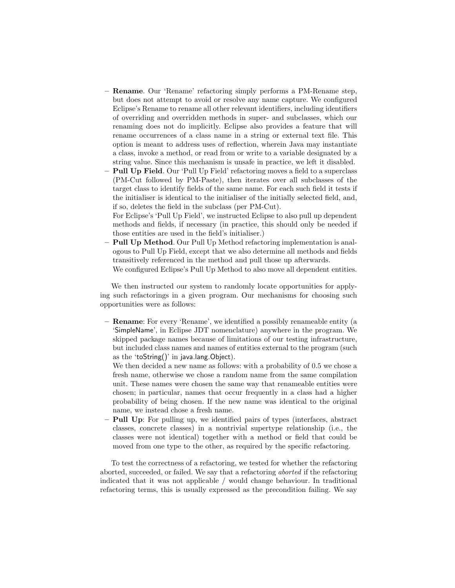- Rename. Our 'Rename' refactoring simply performs a PM-Rename step, but does not attempt to avoid or resolve any name capture. We configured Eclipse's Rename to rename all other relevant identifiers, including identifiers of overriding and overridden methods in super- and subclasses, which our renaming does not do implicitly. Eclipse also provides a feature that will rename occurrences of a class name in a string or external text file. This option is meant to address uses of reflection, wherein Java may instantiate a class, invoke a method, or read from or write to a variable designated by a string value. Since this mechanism is unsafe in practice, we left it disabled.
- Pull Up Field. Our 'Pull Up Field' refactoring moves a field to a superclass (PM-Cut followed by PM-Paste), then iterates over all subclasses of the target class to identify fields of the same name. For each such field it tests if the initialiser is identical to the initialiser of the initially selected field, and, if so, deletes the field in the subclass (per PM-Cut).
- For Eclipse's 'Pull Up Field', we instructed Eclipse to also pull up dependent methods and fields, if necessary (in practice, this should only be needed if those entities are used in the field's initialiser.)
- Pull Up Method. Our Pull Up Method refactoring implementation is analogous to Pull Up Field, except that we also determine all methods and fields transitively referenced in the method and pull those up afterwards. We configured Eclipse's Pull Up Method to also move all dependent entities.

We then instructed our system to randomly locate opportunities for applying such refactorings in a given program. Our mechanisms for choosing such opportunities were as follows:

– Rename: For every 'Rename', we identified a possibly renameable entity (a 'SimpleName', in Eclipse JDT nomenclature) anywhere in the program. We skipped package names because of limitations of our testing infrastructure, but included class names and names of entities external to the program (such as the 'toString()' in java.lang.Object).

We then decided a new name as follows: with a probability of 0.5 we chose a fresh name, otherwise we chose a random name from the same compilation unit. These names were chosen the same way that renameable entities were chosen; in particular, names that occur frequently in a class had a higher probability of being chosen. If the new name was identical to the original name, we instead chose a fresh name.

– Pull Up: For pulling up, we identified pairs of types (interfaces, abstract classes, concrete classes) in a nontrivial supertype relationship (i.e., the classes were not identical) together with a method or field that could be moved from one type to the other, as required by the specific refactoring.

To test the correctness of a refactoring, we tested for whether the refactoring aborted, succeeded, or failed. We say that a refactoring aborted if the refactoring indicated that it was not applicable / would change behaviour. In traditional refactoring terms, this is usually expressed as the precondition failing. We say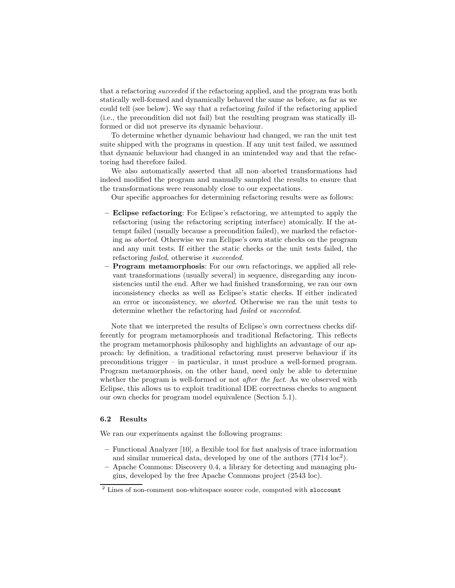that a refactoring succeeded if the refactoring applied, and the program was both statically well-formed and dynamically behaved the same as before, as far as we could tell (see below). We say that a refactoring failed if the refactoring applied (i.e., the precondition did not fail) but the resulting program was statically illformed or did not preserve its dynamic behaviour.

To determine whether dynamic behaviour had changed, we ran the unit test suite shipped with the programs in question. If any unit test failed, we assumed that dynamic behaviour had changed in an unintended way and that the refactoring had therefore failed.

We also automatically asserted that all non–aborted transformations had indeed modified the program and manually sampled the results to ensure that the transformations were reasonably close to our expectations.

Our specific approaches for determining refactoring results were as follows:

- Eclipse refactoring: For Eclipse's refactoring, we attempted to apply the refactoring (using the refactoring scripting interface) atomically. If the attempt failed (usually because a precondition failed), we marked the refactoring as aborted. Otherwise we ran Eclipse's own static checks on the program and any unit tests. If either the static checks or the unit tests failed, the refactoring failed, otherwise it succeeded.
- Program metamorphosis: For our own refactorings, we applied all relevant transformations (usually several) in sequence, disregarding any inconsistencies until the end. After we had finished transforming, we ran our own inconsistency checks as well as Eclipse's static checks. If either indicated an error or inconsistency, we aborted. Otherwise we ran the unit tests to determine whether the refactoring had failed or succeeded.

Note that we interpreted the results of Eclipse's own correctness checks differently for program metamorphosis and traditional Refactoring. This reflects the program metamorphosis philosophy and highlights an advantage of our approach: by definition, a traditional refactoring must preserve behaviour if its preconditions trigger – in particular, it must produce a well-formed program. Program metamorphosis, on the other hand, need only be able to determine whether the program is well-formed or not *after the fact*. As we observed with Eclipse, this allows us to exploit traditional IDE correctness checks to augment our own checks for program model equivalence (Section 5.1).

### 6.2 Results

We ran our experiments against the following programs:

- Functional Analyzer [10], a flexible tool for fast analysis of trace information and similar numerical data, developed by one of the authors  $(7714 \text{ loc}^2)$ .
- Apache Commons: Discovery 0.4, a library for detecting and managing plugins, developed by the free Apache Commons project (2543 loc).

<sup>&</sup>lt;sup>2</sup> Lines of non-comment non-whitespace source code, computed with sloccount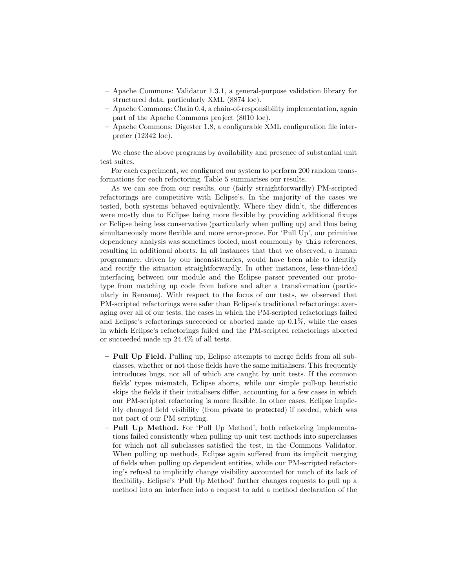- Apache Commons: Validator 1.3.1, a general-purpose validation library for structured data, particularly XML (8874 loc).
- Apache Commons: Chain 0.4, a chain-of-responsibility implementation, again part of the Apache Commons project (8010 loc).
- Apache Commons: Digester 1.8, a configurable XML configuration file interpreter (12342 loc).

We chose the above programs by availability and presence of substantial unit test suites.

For each experiment, we configured our system to perform 200 random transformations for each refactoring. Table 5 summarises our results.

As we can see from our results, our (fairly straightforwardly) PM-scripted refactorings are competitive with Eclipse's. In the majority of the cases we tested, both systems behaved equivalently. Where they didn't, the differences were mostly due to Eclipse being more flexible by providing additional fixups or Eclipse being less conservative (particularly when pulling up) and thus being simultaneously more flexible and more error-prone. For 'Pull Up', our primitive dependency analysis was sometimes fooled, most commonly by this references, resulting in additional aborts. In all instances that that we observed, a human programmer, driven by our inconsistencies, would have been able to identify and rectify the situation straightforwardly. In other instances, less-than-ideal interfacing between our module and the Eclipse parser prevented our prototype from matching up code from before and after a transformation (particularly in Rename). With respect to the focus of our tests, we observed that PM-scripted refactorings were safer than Eclipse's traditional refactorings: averaging over all of our tests, the cases in which the PM-scripted refactorings failed and Eclipse's refactorings succeeded or aborted made up 0.1%, while the cases in which Eclipse's refactorings failed and the PM-scripted refactorings aborted or succeeded made up 24.4% of all tests.

- Pull Up Field. Pulling up, Eclipse attempts to merge fields from all subclasses, whether or not those fields have the same initialisers. This frequently introduces bugs, not all of which are caught by unit tests. If the common fields' types mismatch, Eclipse aborts, while our simple pull-up heuristic skips the fields if their initialisers differ, accounting for a few cases in which our PM-scripted refactoring is more flexible. In other cases, Eclipse implicitly changed field visibility (from private to protected) if needed, which was not part of our PM scripting.
- Pull Up Method. For 'Pull Up Method', both refactoring implementations failed consistently when pulling up unit test methods into superclasses for which not all subclasses satisfied the test, in the Commons Validator. When pulling up methods, Eclipse again suffered from its implicit merging of fields when pulling up dependent entities, while our PM-scripted refactoring's refusal to implicitly change visibility accounted for much of its lack of flexibility. Eclipse's 'Pull Up Method' further changes requests to pull up a method into an interface into a request to add a method declaration of the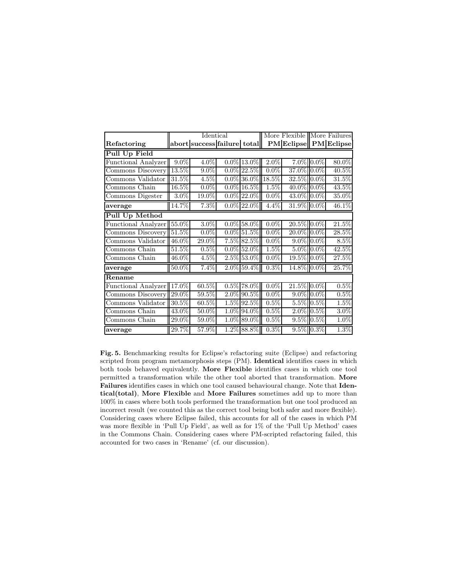|                            | Identical |                             |  |               |         | More Flexible More Failures  |              |         |
|----------------------------|-----------|-----------------------------|--|---------------|---------|------------------------------|--------------|---------|
| Refactoring                |           | abort success failure total |  |               |         | <b>PM</b> Eclipse PM Eclipse |              |         |
| Pull Up Field              |           |                             |  |               |         |                              |              |         |
| <b>Functional Analyzer</b> | $9.0\%$   | 4.0%                        |  | $0.0\%$ 13.0% | 2.0%    |                              | 7.0% 0.0%    | 80.0%   |
| Commons Discovery          | $13.5\%$  | $9.0\%$                     |  | $0.0\%$ 22.5% | $0.0\%$ | 37.0% 0.0%                   |              | 40.5%   |
| Commons Validator          | 31.5%     | $4.5\%$                     |  | $0.0\%$ 36.0% | 18.5%   | 32.5% 0.0%                   |              | 31.5%   |
| Commons Chain              | 16.5%     | $0.0\%$                     |  | $0.0\%$ 16.5% | $1.5\%$ | 40.0%                        | $0.0\%$      | 43.5%   |
| Commons Digester           | 3.0%      | 19.0%                       |  | $0.0\%$ 22.0% | $0.0\%$ | 43.0% 0.0%                   |              | 35.0%   |
| average                    | 14.7%     | 7.3%                        |  | $0.0\%$ 22.0% | $4.4\%$ | 31.9% 0.0%                   |              | 46.1%   |
| Pull Up Method             |           |                             |  |               |         |                              |              |         |
| <b>Functional Analyzer</b> | 55.0%     | 3.0%                        |  | $0.0\%$ 58.0% | $0.0\%$ | 20.5% 0.0%                   |              | 21.5%   |
| Commons Discovery          | 51.5%     | $0.0\%$                     |  | $0.0\%$ 51.5% | $0.0\%$ | 20.0% 0.0%                   |              | 28.5%   |
| Commons Validator          | 46.0%     | 29.0%                       |  | 7.5% 82.5%    | $0.0\%$ |                              | $9.0\%$ 0.0% | 8.5%    |
| Commons Chain              | 51.5%     | 0.5%                        |  | $0.0\%$ 52.0% | $1.5\%$ |                              | $5.0\%$ 0.0% | 42.5%   |
| Commons Chain              | $46.0\%$  | $4.5\%$                     |  | 2.5% 53.0%    | $0.0\%$ | 19.5% 0.0%                   |              | 27.5%   |
| average                    | 50.0%     | 7.4%                        |  | 2.0% 59.4%    | 0.3%    | 14.8% 0.0%                   |              | 25.7%   |
| Rename                     |           |                             |  |               |         |                              |              |         |
| <b>Functional Analyzer</b> | $17.0\%$  | 60.5%                       |  | $0.5\%$ 78.0% | $0.0\%$ | 21.5% 0.0%                   |              | 0.5%    |
| Commons Discovery          | 29.0%     | 59.5%                       |  | 2.0% 90.5%    | $0.0\%$ | $9.0\%$                      | $0.0\%$      | 0.5%    |
| Commons Validator          | 30.5%     | 60.5%                       |  | $1.5\%$ 92.5% | 0.5%    | 5.5%                         | $0.5\%$      | 1.5%    |
| Commons Chain              | 43.0%     | 50.0%                       |  | 1.0% 94.0%    | 0.5%    | $2.0\%$                      | $0.5\%$      | $3.0\%$ |
| Commons Chain              | 29.0%     | 59.0%                       |  | 1.0% 89.0%    | 0.5%    |                              | $9.5\%$ 0.5% | 1.0%    |
| average                    | 29.7%     | 57.9%                       |  | 1.2% 88.8%    | 0.3%    | $9.5\%$ 0.3%                 |              | $1.3\%$ |

Fig. 5. Benchmarking results for Eclipse's refactoring suite (Eclipse) and refactoring scripted from program metamorphosis steps (PM). Identical identifies cases in which both tools behaved equivalently. More Flexible identifies cases in which one tool permitted a transformation while the other tool aborted that transformation. More Failures identifies cases in which one tool caused behavioural change. Note that Identical(total), More Flexible and More Failures sometimes add up to more than 100% in cases where both tools performed the transformation but one tool produced an incorrect result (we counted this as the correct tool being both safer and more flexible). Considering cases where Eclipse failed, this accounts for all of the cases in which PM was more flexible in 'Pull Up Field', as well as for 1% of the 'Pull Up Method' cases in the Commons Chain. Considering cases where PM-scripted refactoring failed, this accounted for two cases in 'Rename' (cf. our discussion).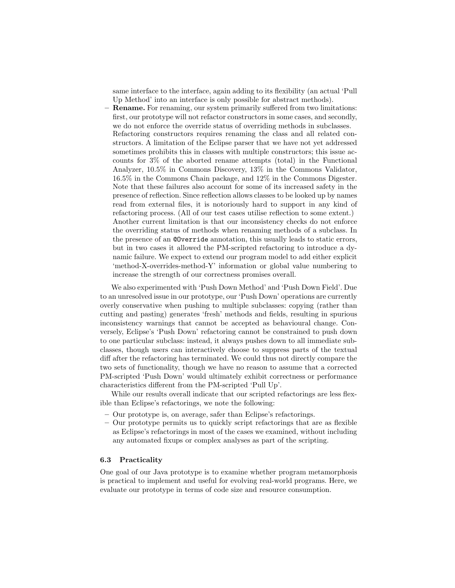same interface to the interface, again adding to its flexibility (an actual 'Pull Up Method' into an interface is only possible for abstract methods).

**Rename.** For renaming, our system primarily suffered from two limitations: first, our prototype will not refactor constructors in some cases, and secondly, we do not enforce the override status of overriding methods in subclasses. Refactoring constructors requires renaming the class and all related constructors. A limitation of the Eclipse parser that we have not yet addressed sometimes prohibits this in classes with multiple constructors; this issue accounts for 3% of the aborted rename attempts (total) in the Functional Analyzer, 10.5% in Commons Discovery, 13% in the Commons Validator, 16.5% in the Commons Chain package, and 12% in the Commons Digester. Note that these failures also account for some of its increased safety in the presence of reflection. Since reflection allows classes to be looked up by names read from external files, it is notoriously hard to support in any kind of refactoring process. (All of our test cases utilise reflection to some extent.) Another current limitation is that our inconsistency checks do not enforce the overriding status of methods when renaming methods of a subclass. In the presence of an @Override annotation, this usually leads to static errors, but in two cases it allowed the PM-scripted refactoring to introduce a dynamic failure. We expect to extend our program model to add either explicit 'method-X-overrides-method-Y' information or global value numbering to increase the strength of our correctness promises overall.

We also experimented with 'Push Down Method' and 'Push Down Field'. Due to an unresolved issue in our prototype, our 'Push Down' operations are currently overly conservative when pushing to multiple subclasses: copying (rather than cutting and pasting) generates 'fresh' methods and fields, resulting in spurious inconsistency warnings that cannot be accepted as behavioural change. Conversely, Eclipse's 'Push Down' refactoring cannot be constrained to push down to one particular subclass: instead, it always pushes down to all immediate subclasses, though users can interactively choose to suppress parts of the textual diff after the refactoring has terminated. We could thus not directly compare the two sets of functionality, though we have no reason to assume that a corrected PM-scripted 'Push Down' would ultimately exhibit correctness or performance characteristics different from the PM-scripted 'Pull Up'.

While our results overall indicate that our scripted refactorings are less flexible than Eclipse's refactorings, we note the following:

- Our prototype is, on average, safer than Eclipse's refactorings.
- Our prototype permits us to quickly script refactorings that are as flexible as Eclipse's refactorings in most of the cases we examined, without including any automated fixups or complex analyses as part of the scripting.

#### 6.3 Practicality

One goal of our Java prototype is to examine whether program metamorphosis is practical to implement and useful for evolving real-world programs. Here, we evaluate our prototype in terms of code size and resource consumption.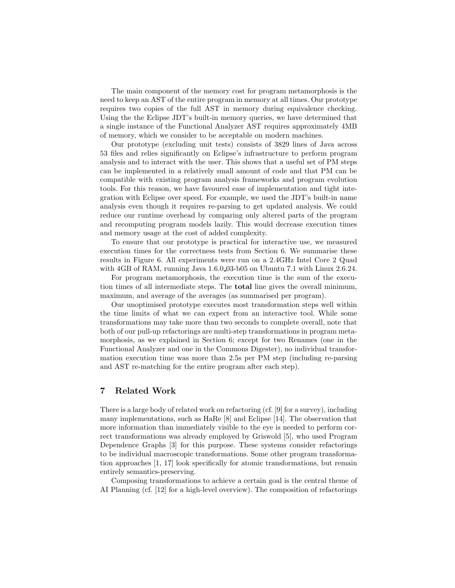The main component of the memory cost for program metamorphosis is the need to keep an AST of the entire program in memory at all times. Our prototype requires two copies of the full AST in memory during equivalence checking. Using the the Eclipse JDT's built-in memory queries, we have determined that a single instance of the Functional Analyzer AST requires approximately 4MB of memory, which we consider to be acceptable on modern machines.

Our prototype (excluding unit tests) consists of 3829 lines of Java across 53 files and relies significantly on Eclipse's infrastructure to perform program analysis and to interact with the user. This shows that a useful set of PM steps can be implemented in a relatively small amount of code and that PM can be compatible with existing program analysis frameworks and program evolution tools. For this reason, we have favoured ease of implementation and tight integration with Eclipse over speed. For example, we used the JDT's built-in name analysis even though it requires re-parsing to get updated analysis. We could reduce our runtime overhead by comparing only altered parts of the program and recomputing program models lazily. This would decrease execution times and memory usage at the cost of added complexity.

To ensure that our prototype is practical for interactive use, we measured execution times for the correctness tests from Section 6. We summarise these results in Figure 6. All experiments were run on a 2.4GHz Intel Core 2 Quad with 4GB of RAM, running Java 1.6.0 03-b05 on Ubuntu 7.1 with Linux 2.6.24.

For program metamorphosis, the execution time is the sum of the execution times of all intermediate steps. The total line gives the overall minimum, maximum, and average of the averages (as summarised per program).

Our unoptimised prototype executes most transformation steps well within the time limits of what we can expect from an interactive tool. While some transformations may take more than two seconds to complete overall, note that both of our pull-up refactorings are multi-step transformations in program metamorphosis, as we explained in Section 6; except for two Renames (one in the Functional Analyzer and one in the Commons Digester), no individual transformation execution time was more than 2.5s per PM step (including re-parsing and AST re-matching for the entire program after each step).

## 7 Related Work

There is a large body of related work on refactoring (cf. [9] for a survey), including many implementations, such as HaRe [8] and Eclipse [14]. The observation that more information than immediately visible to the eye is needed to perform correct transformations was already employed by Griswold [5], who used Program Dependence Graphs [3] for this purpose. These systems consider refactorings to be individual macroscopic transformations. Some other program transformation approaches [1, 17] look specifically for atomic transformations, but remain entirely semantics-preserving.

Composing transformations to achieve a certain goal is the central theme of AI Planning (cf. [12] for a high-level overview). The composition of refactorings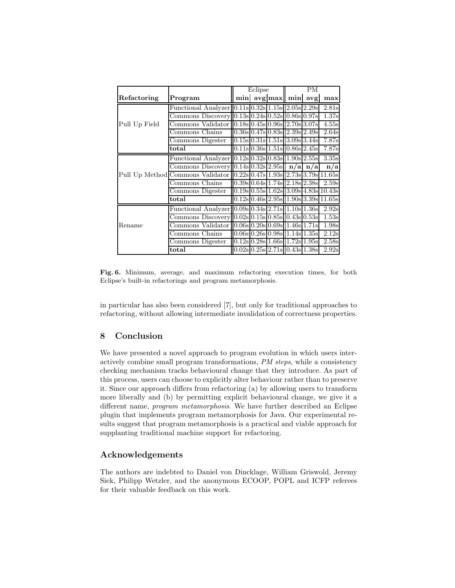|               |                                                                | Eclipse                                     |  |  | PМ                                           |     |                                                        |
|---------------|----------------------------------------------------------------|---------------------------------------------|--|--|----------------------------------------------|-----|--------------------------------------------------------|
| Refactoring   | Program                                                        | min                                         |  |  | $\arg \max$ min                              | avg | max                                                    |
|               | Functional Analyzer 0.11s 0.32s 1.15s 2.05s 2.29s              |                                             |  |  |                                              |     | 2.81s                                                  |
|               | Commons Discovery $0.13$ s $0.24$ s $0.52$ s $0.86$ s $0.97$ s |                                             |  |  |                                              |     | 1.37s                                                  |
| Pull Up Field | Commons Validator 0.18s 0.45s 0.96s 2.70s 3.07s                |                                             |  |  |                                              |     | 4.55s                                                  |
|               | Commons Chains                                                 |                                             |  |  | $0.36s \, 0.47s \, 0.83s \, 2.39s \, 2.49s$  |     | 2.64s                                                  |
|               | Commons Digester                                               |                                             |  |  | $0.15s$ 0.31s 1.51s 3.09s 3.44s              |     | 7.87s                                                  |
|               | total                                                          |                                             |  |  | $0.11$ s $0.36$ s $1.51$ s $0.86$ s $2.45$ s |     | 7.87s                                                  |
|               | Functional Analyzer 0.12s 0.32s 0.83s 1.90s 2.55s              |                                             |  |  |                                              |     | 3.35s                                                  |
|               | Commons Discovery $0.14s$ $0.32s$ $2.95s$                      |                                             |  |  | n/a                                          | n/a | n/a                                                    |
|               | Pull Up Method Commons Validator 0.22s 0.47s 1.93s 2.73s 3.79s |                                             |  |  |                                              |     | 11.65s                                                 |
|               | Commons Chains                                                 | $0.39s \, 0.64s \, 1.74s \, 2.18s \, 2.38s$ |  |  |                                              |     | 2.59s                                                  |
|               | Commons Digester                                               |                                             |  |  |                                              |     | 0.19s 0.55s 1.62s 3.09s 4.83s 10.43s                   |
|               | total                                                          |                                             |  |  |                                              |     | $0.12s \, 0.46s \, 2.95s \, 11.90s \, 3.39s \, 11.65s$ |
|               | Functional Analyzer 0.09s 0.34s 2.71s 1.10s 1.36s              |                                             |  |  |                                              |     | 2.92s                                                  |
|               | Commons Discovery $ 0.02s 0.15s 0.85s 0.43s 0.53s $            |                                             |  |  |                                              |     | 1.53s                                                  |
| Rename        | Commons Validator 0.06s 0.20s 0.69s 1.46s 1.71s                |                                             |  |  |                                              |     | 1.98s                                                  |
|               | Commons Chains                                                 |                                             |  |  | $0.06s$ 0.26s 0.98s 1.14s 1.35s              |     | 2.12s                                                  |
|               | Commons Digester                                               |                                             |  |  | $0.12$ s $0.28$ s $1.66$ s $1.72$ s $1.95$ s |     | 2.58s                                                  |
|               | total                                                          |                                             |  |  | 0.02s[0.25s[2.71s][0.43s]1.38s]              |     | 2.92s                                                  |

Fig. 6. Minimum, average, and maximum refactoring execution times, for both Eclipse's built-in refactorings and program metamorphosis.

in particular has also been considered [7], but only for traditional approaches to refactoring, without allowing intermediate invalidation of correctness properties.

## 8 Conclusion

We have presented a novel approach to program evolution in which users interactively combine small program transformations, PM steps, while a consistency checking mechanism tracks behavioural change that they introduce. As part of this process, users can choose to explicitly alter behaviour rather than to preserve it. Since our approach differs from refactoring (a) by allowing users to transform more liberally and (b) by permitting explicit behavioural change, we give it a different name, program metamorphosis. We have further described an Eclipse plugin that implements program metamorphosis for Java. Our experimental results suggest that program metamorphosis is a practical and viable approach for supplanting traditional machine support for refactoring.

## Acknowledgements

The authors are indebted to Daniel von Dincklage, William Griswold, Jeremy Siek, Philipp Wetzler, and the anonymous ECOOP, POPL and ICFP referees for their valuable feedback on this work.